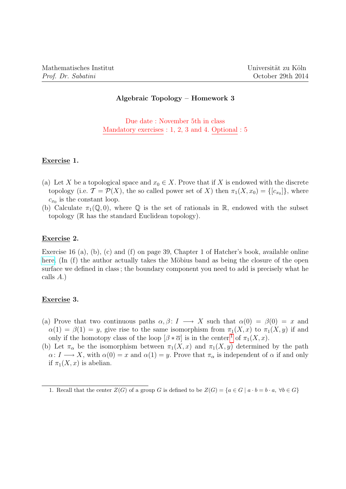# Algebraic Topology – Homework 3

Due date : November 5th in class Mandatory exercises : 1, 2, 3 and 4. Optional : 5

### Exercise 1.

- (a) Let X be a topological space and  $x_0 \in X$ . Prove that if X is endowed with the discrete topology (i.e.  $\mathcal{T} = \mathcal{P}(X)$ , the so called power set of X) then  $\pi_1(X, x_0) = \{[c_{x_0}]\}$ , where  $c_{x_0}$  is the constant loop.
- (b) Calculate  $\pi_1(\mathbb{Q}, 0)$ , where  $\mathbb Q$  is the set of rationals in  $\mathbb R$ , endowed with the subset topology (R has the standard Euclidean topology).

### Exercise 2.

Exercise 16 (a), (b), (c) and (f) on page 39, Chapter 1 of Hatcher's book, available online [here.](http://www.math.cornell.edu/~hatcher/AT/ATch1.pdf) (In (f) the author actually takes the Möbius band as being the closure of the open surface we defined in class ; the boundary component you need to add is precisely what he calls A.)

### Exercise 3.

- (a) Prove that two continuous paths  $\alpha, \beta \colon I \longrightarrow X$  such that  $\alpha(0) = \beta(0) = x$  and  $\alpha(1) = \beta(1) = y$ , give rise to the same isomorphism from  $\pi_1(X, x)$  to  $\pi_1(X, y)$  if and only if the homotopy class of the loop  $[\beta * \overline{\alpha}]$  is in the center<sup>[1](#page-0-0)</sup> of  $\pi_1(X, x)$ .
- (b) Let  $\pi_{\alpha}$  be the isomorphism between  $\pi_1(X, x)$  and  $\pi_1(X, y)$  determined by the path  $\alpha\colon I\longrightarrow X$ , with  $\alpha(0)=x$  and  $\alpha(1)=y$ . Prove that  $\pi_{\alpha}$  is independent of  $\alpha$  if and only if  $\pi_1(X, x)$  is abelian.

<span id="page-0-0"></span><sup>1.</sup> Recall that the center  $Z(G)$  of a group G is defined to be  $Z(G) = \{a \in G \mid a \cdot b = b \cdot a, \forall b \in G\}$